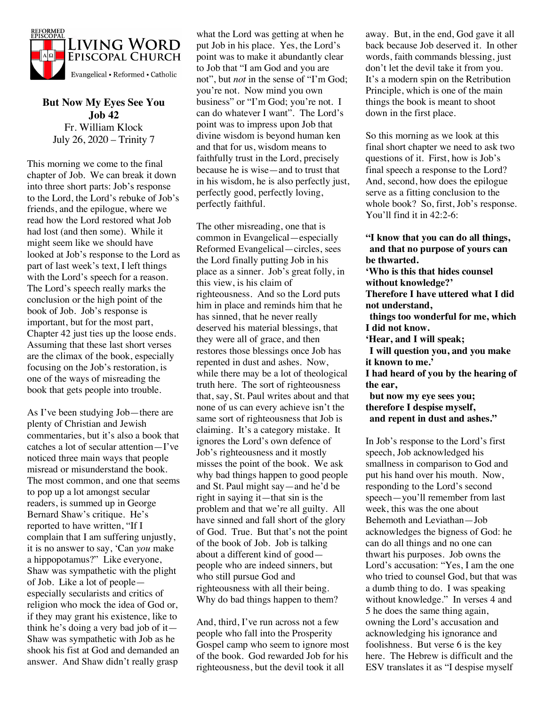

**But Now My Eyes See You Job 42** Fr. William Klock July 26, 2020 – Trinity 7

This morning we come to the final chapter of Job. We can break it down into three short parts: Job's response to the Lord, the Lord's rebuke of Job's friends, and the epilogue, where we read how the Lord restored what Job had lost (and then some). While it might seem like we should have looked at Job's response to the Lord as part of last week's text, I left things with the Lord's speech for a reason. The Lord's speech really marks the conclusion or the high point of the book of Job. Job's response is important, but for the most part, Chapter 42 just ties up the loose ends. Assuming that these last short verses are the climax of the book, especially focusing on the Job's restoration, is one of the ways of misreading the book that gets people into trouble.

As I've been studying Job—there are plenty of Christian and Jewish commentaries, but it's also a book that catches a lot of secular attention—I've noticed three main ways that people misread or misunderstand the book. The most common, and one that seems to pop up a lot amongst secular readers, is summed up in George Bernard Shaw's critique. He's reported to have written, "If I complain that I am suffering unjustly, it is no answer to say, 'Can *you* make a hippopotamus?" Like everyone, Shaw was sympathetic with the plight of Job. Like a lot of people especially secularists and critics of religion who mock the idea of God or, if they may grant his existence, like to think he's doing a very bad job of it— Shaw was sympathetic with Job as he shook his fist at God and demanded an answer. And Shaw didn't really grasp

what the Lord was getting at when he put Job in his place. Yes, the Lord's point was to make it abundantly clear to Job that "I am God and you are not", but *not* in the sense of "I'm God; you're not. Now mind you own business" or "I'm God; you're not. I can do whatever I want". The Lord's point was to impress upon Job that divine wisdom is beyond human ken and that for us, wisdom means to faithfully trust in the Lord, precisely because he is wise—and to trust that in his wisdom, he is also perfectly just, perfectly good, perfectly loving, perfectly faithful.

The other misreading, one that is common in Evangelical—especially Reformed Evangelical—circles, sees the Lord finally putting Job in his place as a sinner. Job's great folly, in this view, is his claim of righteousness. And so the Lord puts him in place and reminds him that he has sinned, that he never really deserved his material blessings, that they were all of grace, and then restores those blessings once Job has repented in dust and ashes. Now, while there may be a lot of theological truth here. The sort of righteousness that, say, St. Paul writes about and that none of us can every achieve isn't the same sort of righteousness that Job is claiming. It's a category mistake. It ignores the Lord's own defence of Job's righteousness and it mostly misses the point of the book. We ask why bad things happen to good people and St. Paul might say—and he'd be right in saying it—that sin is the problem and that we're all guilty. All have sinned and fall short of the glory of God. True. But that's not the point of the book of Job. Job is talking about a different kind of good people who are indeed sinners, but who still pursue God and righteousness with all their being. Why do bad things happen to them?

And, third, I've run across not a few people who fall into the Prosperity Gospel camp who seem to ignore most of the book. God rewarded Job for his righteousness, but the devil took it all

away. But, in the end, God gave it all back because Job deserved it. In other words, faith commands blessing, just don't let the devil take it from you. It's a modern spin on the Retribution Principle, which is one of the main things the book is meant to shoot down in the first place.

So this morning as we look at this final short chapter we need to ask two questions of it. First, how is Job's final speech a response to the Lord? And, second, how does the epilogue serve as a fitting conclusion to the whole book? So, first, Job's response. You'll find it in 42:2-6:

**"I know that you can do all things, and that no purpose of yours can be thwarted. 'Who is this that hides counsel without knowledge?' Therefore I have uttered what I did not understand, things too wonderful for me, which I did not know. 'Hear, and I will speak; I will question you, and you make it known to me.' I had heard of you by the hearing of the ear, but now my eye sees you; therefore I despise myself, and repent in dust and ashes."**

In Job's response to the Lord's first speech, Job acknowledged his smallness in comparison to God and put his hand over his mouth. Now, responding to the Lord's second speech—you'll remember from last week, this was the one about Behemoth and Leviathan—Job acknowledges the bigness of God: he can do all things and no one can thwart his purposes. Job owns the Lord's accusation: "Yes, I am the one who tried to counsel God, but that was a dumb thing to do. I was speaking without knowledge." In verses 4 and 5 he does the same thing again, owning the Lord's accusation and acknowledging his ignorance and foolishness. But verse 6 is the key here. The Hebrew is difficult and the ESV translates it as "I despise myself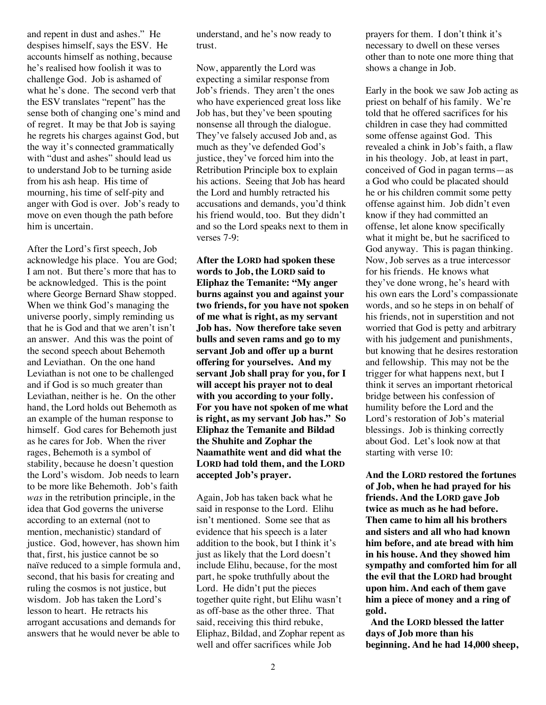and repent in dust and ashes." He despises himself, says the ESV. He accounts himself as nothing, because he's realised how foolish it was to challenge God. Job is ashamed of what he's done. The second verb that the ESV translates "repent" has the sense both of changing one's mind and of regret. It may be that Job is saying he regrets his charges against God, but the way it's connected grammatically with "dust and ashes" should lead us to understand Job to be turning aside from his ash heap. His time of mourning, his time of self-pity and anger with God is over. Job's ready to move on even though the path before him is uncertain.

After the Lord's first speech, Job acknowledge his place. You are God; I am not. But there's more that has to be acknowledged. This is the point where George Bernard Shaw stopped. When we think God's managing the universe poorly, simply reminding us that he is God and that we aren't isn't an answer. And this was the point of the second speech about Behemoth and Leviathan. On the one hand Leviathan is not one to be challenged and if God is so much greater than Leviathan, neither is he. On the other hand, the Lord holds out Behemoth as an example of the human response to himself. God cares for Behemoth just as he cares for Job. When the river rages, Behemoth is a symbol of stability, because he doesn't question the Lord's wisdom. Job needs to learn to be more like Behemoth. Job's faith *was* in the retribution principle, in the idea that God governs the universe according to an external (not to mention, mechanistic) standard of justice. God, however, has shown him that, first, his justice cannot be so naïve reduced to a simple formula and, second, that his basis for creating and ruling the cosmos is not justice, but wisdom. Job has taken the Lord's lesson to heart. He retracts his arrogant accusations and demands for answers that he would never be able to understand, and he's now ready to trust.

Now, apparently the Lord was expecting a similar response from Job's friends. They aren't the ones who have experienced great loss like Job has, but they've been spouting nonsense all through the dialogue. They've falsely accused Job and, as much as they've defended God's justice, they've forced him into the Retribution Principle box to explain his actions. Seeing that Job has heard the Lord and humbly retracted his accusations and demands, you'd think his friend would, too. But they didn't and so the Lord speaks next to them in verses 7-9:

**After the LORD had spoken these words to Job, the LORD said to Eliphaz the Temanite: "My anger burns against you and against your two friends, for you have not spoken of me what is right, as my servant Job has. Now therefore take seven bulls and seven rams and go to my servant Job and offer up a burnt offering for yourselves. And my servant Job shall pray for you, for I will accept his prayer not to deal with you according to your folly. For you have not spoken of me what is right, as my servant Job has." So Eliphaz the Temanite and Bildad the Shuhite and Zophar the Naamathite went and did what the LORD had told them, and the LORD accepted Job's prayer.**

Again, Job has taken back what he said in response to the Lord. Elihu isn't mentioned. Some see that as evidence that his speech is a later addition to the book, but I think it's just as likely that the Lord doesn't include Elihu, because, for the most part, he spoke truthfully about the Lord. He didn't put the pieces together quite right, but Elihu wasn't as off-base as the other three. That said, receiving this third rebuke, Eliphaz, Bildad, and Zophar repent as well and offer sacrifices while Job

prayers for them. I don't think it's necessary to dwell on these verses other than to note one more thing that shows a change in Job.

Early in the book we saw Job acting as priest on behalf of his family. We're told that he offered sacrifices for his children in case they had committed some offense against God. This revealed a chink in Job's faith, a flaw in his theology. Job, at least in part, conceived of God in pagan terms—as a God who could be placated should he or his children commit some petty offense against him. Job didn't even know if they had committed an offense, let alone know specifically what it might be, but he sacrificed to God anyway. This is pagan thinking. Now, Job serves as a true intercessor for his friends. He knows what they've done wrong, he's heard with his own ears the Lord's compassionate words, and so he steps in on behalf of his friends, not in superstition and not worried that God is petty and arbitrary with his judgement and punishments, but knowing that he desires restoration and fellowship. This may not be the trigger for what happens next, but I think it serves an important rhetorical bridge between his confession of humility before the Lord and the Lord's restoration of Job's material blessings. Job is thinking correctly about God. Let's look now at that starting with verse 10:

**And the LORD restored the fortunes of Job, when he had prayed for his friends. And the LORD gave Job twice as much as he had before. Then came to him all his brothers and sisters and all who had known him before, and ate bread with him in his house. And they showed him sympathy and comforted him for all the evil that the LORD had brought upon him. And each of them gave him a piece of money and a ring of gold.**

**And the LORD blessed the latter days of Job more than his beginning. And he had 14,000 sheep,**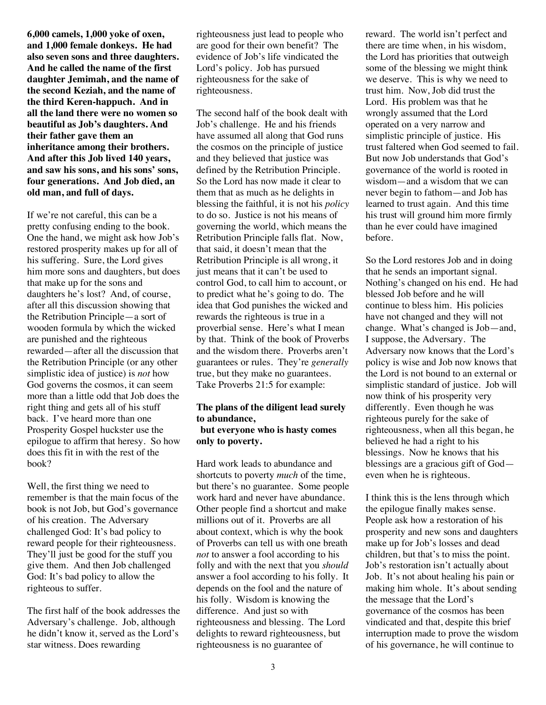**6,000 camels, 1,000 yoke of oxen, and 1,000 female donkeys. He had also seven sons and three daughters. And he called the name of the first daughter Jemimah, and the name of the second Keziah, and the name of the third Keren-happuch. And in all the land there were no women so beautiful as Job's daughters. And their father gave them an inheritance among their brothers. And after this Job lived 140 years, and saw his sons, and his sons' sons, four generations. And Job died, an old man, and full of days.**

If we're not careful, this can be a pretty confusing ending to the book. One the hand, we might ask how Job's restored prosperity makes up for all of his suffering. Sure, the Lord gives him more sons and daughters, but does that make up for the sons and daughters he's lost? And, of course, after all this discussion showing that the Retribution Principle—a sort of wooden formula by which the wicked are punished and the righteous rewarded—after all the discussion that the Retribution Principle (or any other simplistic idea of justice) is *not* how God governs the cosmos, it can seem more than a little odd that Job does the right thing and gets all of his stuff back. I've heard more than one Prosperity Gospel huckster use the epilogue to affirm that heresy. So how does this fit in with the rest of the book?

Well, the first thing we need to remember is that the main focus of the book is not Job, but God's governance of his creation. The Adversary challenged God: It's bad policy to reward people for their righteousness. They'll just be good for the stuff you give them. And then Job challenged God: It's bad policy to allow the righteous to suffer.

The first half of the book addresses the Adversary's challenge. Job, although he didn't know it, served as the Lord's star witness. Does rewarding

righteousness just lead to people who are good for their own benefit? The evidence of Job's life vindicated the Lord's policy. Job has pursued righteousness for the sake of righteousness.

The second half of the book dealt with Job's challenge. He and his friends have assumed all along that God runs the cosmos on the principle of justice and they believed that justice was defined by the Retribution Principle. So the Lord has now made it clear to them that as much as he delights in blessing the faithful, it is not his *policy*  to do so. Justice is not his means of governing the world, which means the Retribution Principle falls flat. Now, that said, it doesn't mean that the Retribution Principle is all wrong, it just means that it can't be used to control God, to call him to account, or to predict what he's going to do. The idea that God punishes the wicked and rewards the righteous is true in a proverbial sense. Here's what I mean by that. Think of the book of Proverbs and the wisdom there. Proverbs aren't guarantees or rules. They're *generally* true, but they make no guarantees. Take Proverbs 21:5 for example:

## **The plans of the diligent lead surely to abundance,**

**but everyone who is hasty comes only to poverty.**

Hard work leads to abundance and shortcuts to poverty *much* of the time, but there's no guarantee. Some people work hard and never have abundance. Other people find a shortcut and make millions out of it. Proverbs are all about context, which is why the book of Proverbs can tell us with one breath *not* to answer a fool according to his folly and with the next that you *should* answer a fool according to his folly. It depends on the fool and the nature of his folly. Wisdom is knowing the difference. And just so with righteousness and blessing. The Lord delights to reward righteousness, but righteousness is no guarantee of

reward. The world isn't perfect and there are time when, in his wisdom, the Lord has priorities that outweigh some of the blessing we might think we deserve. This is why we need to trust him. Now, Job did trust the Lord. His problem was that he wrongly assumed that the Lord operated on a very narrow and simplistic principle of justice. His trust faltered when God seemed to fail. But now Job understands that God's governance of the world is rooted in wisdom—and a wisdom that we can never begin to fathom—and Job has learned to trust again. And this time his trust will ground him more firmly than he ever could have imagined before.

So the Lord restores Job and in doing that he sends an important signal. Nothing's changed on his end. He had blessed Job before and he will continue to bless him. His policies have not changed and they will not change. What's changed is Job—and, I suppose, the Adversary. The Adversary now knows that the Lord's policy is wise and Job now knows that the Lord is not bound to an external or simplistic standard of justice. Job will now think of his prosperity very differently. Even though he was righteous purely for the sake of righteousness, when all this began, he believed he had a right to his blessings. Now he knows that his blessings are a gracious gift of God even when he is righteous.

I think this is the lens through which the epilogue finally makes sense. People ask how a restoration of his prosperity and new sons and daughters make up for Job's losses and dead children, but that's to miss the point. Job's restoration isn't actually about Job. It's not about healing his pain or making him whole. It's about sending the message that the Lord's governance of the cosmos has been vindicated and that, despite this brief interruption made to prove the wisdom of his governance, he will continue to